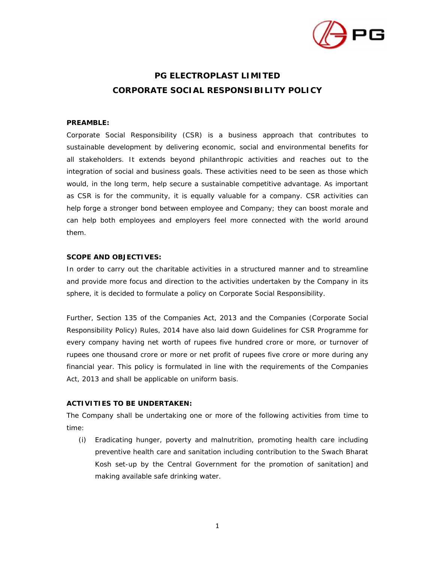

# **PG ELECTROPLAST LIMITED CORPORATE SOCIAL RESPONSIBILITY POLICY**

## **PREAMBLE:**

Corporate Social Responsibility (CSR) is a business approach that contributes to sustainable development by delivering economic, social and environmental benefits for all stakeholders. It extends beyond philanthropic activities and reaches out to the integration of social and business goals. These activities need to be seen as those which would, in the long term, help secure a sustainable competitive advantage. As important as CSR is for the community, it is equally valuable for a company. CSR activities can help forge a stronger bond between employee and Company; they can boost morale and can help both employees and employers feel more connected with the world around them.

### **SCOPE AND OBJECTIVES:**

In order to carry out the charitable activities in a structured manner and to streamline and provide more focus and direction to the activities undertaken by the Company in its sphere, it is decided to formulate a policy on Corporate Social Responsibility.

Further, Section 135 of the Companies Act, 2013 and the Companies (Corporate Social Responsibility Policy) Rules, 2014 have also laid down Guidelines for CSR Programme for every company having net worth of rupees five hundred crore or more, or turnover of rupees one thousand crore or more or net profit of rupees five crore or more during any financial year. This policy is formulated in line with the requirements of the Companies Act, 2013 and shall be applicable on uniform basis.

## **ACTIVITIES TO BE UNDERTAKEN:**

The Company shall be undertaking one or more of the following activities from time to time:

(i) Eradicating hunger, poverty and malnutrition, promoting health care including preventive health care and sanitation including contribution to the Swach Bharat Kosh set-up by the Central Government for the promotion of sanitation] and making available safe drinking water.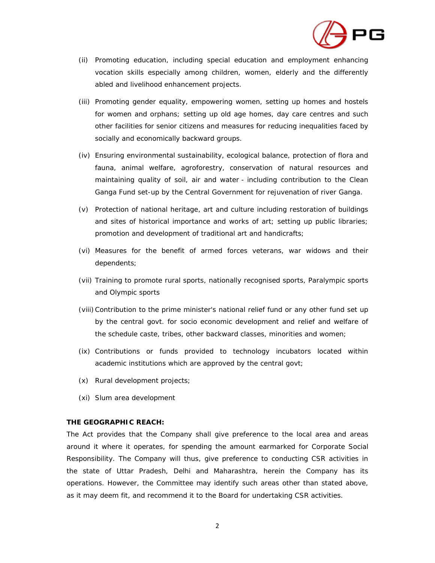

- (ii) Promoting education, including special education and employment enhancing vocation skills especially among children, women, elderly and the differently abled and livelihood enhancement projects.
- (iii) Promoting gender equality, empowering women, setting up homes and hostels for women and orphans; setting up old age homes, day care centres and such other facilities for senior citizens and measures for reducing inequalities faced by socially and economically backward groups.
- (iv) Ensuring environmental sustainability, ecological balance, protection of flora and fauna, animal welfare, agroforestry, conservation of natural resources and maintaining quality of soil, air and water - including contribution to the Clean Ganga Fund set-up by the Central Government for rejuvenation of river Ganga.
- (v) Protection of national heritage, art and culture including restoration of buildings and sites of historical importance and works of art; setting up public libraries; promotion and development of traditional art and handicrafts;
- (vi) Measures for the benefit of armed forces veterans, war widows and their dependents;
- (vii) Training to promote rural sports, nationally recognised sports, Paralympic sports and Olympic sports
- (viii)Contribution to the prime minister's national relief fund or any other fund set up by the central govt. for socio economic development and relief and welfare of the schedule caste, tribes, other backward classes, minorities and women;
- (ix) Contributions or funds provided to technology incubators located within academic institutions which are approved by the central govt;
- (x) Rural development projects;
- (xi) Slum area development

#### **THE GEOGRAPHIC REACH:**

The Act provides that the Company shall give preference to the local area and areas around it where it operates, for spending the amount earmarked for Corporate Social Responsibility. The Company will thus, give preference to conducting CSR activities in the state of Uttar Pradesh, Delhi and Maharashtra, herein the Company has its operations. However, the Committee may identify such areas other than stated above, as it may deem fit, and recommend it to the Board for undertaking CSR activities.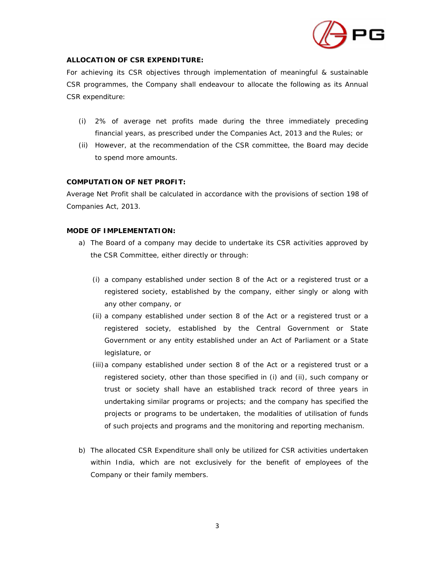

## **ALLOCATION OF CSR EXPENDITURE:**

For achieving its CSR objectives through implementation of meaningful & sustainable CSR programmes, the Company shall endeavour to allocate the following as its Annual CSR expenditure:

- (i) 2% of average net profits made during the three immediately preceding financial years, as prescribed under the Companies Act, 2013 and the Rules; or
- (ii) However, at the recommendation of the CSR committee, the Board may decide to spend more amounts.

## **COMPUTATION OF NET PROFIT:**

Average Net Profit shall be calculated in accordance with the provisions of section 198 of Companies Act, 2013.

## **MODE OF IMPLEMENTATION:**

- a) The Board of a company may decide to undertake its CSR activities approved by the CSR Committee, either directly or through:
	- (i) a company established under section 8 of the Act or a registered trust or a registered society, established by the company, either singly or along with any other company, or
	- (ii) a company established under section 8 of the Act or a registered trust or a registered society, established by the Central Government or State Government or any entity established under an Act of Parliament or a State legislature, or
	- (iii)a company established under section 8 of the Act or a registered trust or a registered society, other than those specified in (i) and (ii), such company or trust or society shall have an established track record of three years in undertaking similar programs or projects; and the company has specified the projects or programs to be undertaken, the modalities of utilisation of funds of such projects and programs and the monitoring and reporting mechanism.
- b) The allocated CSR Expenditure shall only be utilized for CSR activities undertaken within India, which are not exclusively for the benefit of employees of the Company or their family members.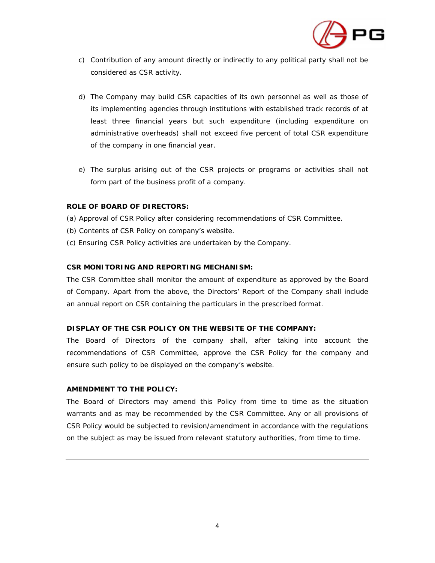

- c) Contribution of any amount directly or indirectly to any political party shall not be considered as CSR activity.
- d) The Company may build CSR capacities of its own personnel as well as those of its implementing agencies through institutions with established track records of at least three financial years but such expenditure (including expenditure on administrative overheads) shall not exceed five percent of total CSR expenditure of the company in one financial year.
- e) The surplus arising out of the CSR projects or programs or activities shall not form part of the business profit of a company.

## **ROLE OF BOARD OF DIRECTORS:**

- (a) Approval of CSR Policy after considering recommendations of CSR Committee.
- (b) Contents of CSR Policy on company's website.
- (c) Ensuring CSR Policy activities are undertaken by the Company.

### **CSR MONITORING AND REPORTING MECHANISM:**

The CSR Committee shall monitor the amount of expenditure as approved by the Board of Company. Apart from the above, the Directors' Report of the Company shall include an annual report on CSR containing the particulars in the prescribed format.

### **DISPLAY OF THE CSR POLICY ON THE WEBSITE OF THE COMPANY:**

The Board of Directors of the company shall, after taking into account the recommendations of CSR Committee, approve the CSR Policy for the company and ensure such policy to be displayed on the company's website.

### **AMENDMENT TO THE POLICY:**

The Board of Directors may amend this Policy from time to time as the situation warrants and as may be recommended by the CSR Committee. Any or all provisions of CSR Policy would be subjected to revision/amendment in accordance with the regulations on the subject as may be issued from relevant statutory authorities, from time to time.